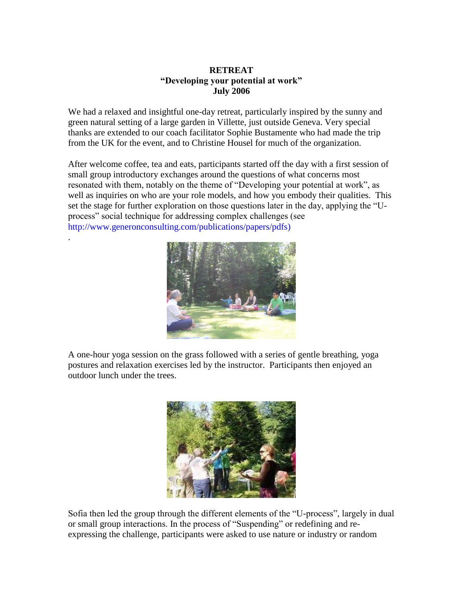## **RETREAT "Developing your potential at work" July 2006**

We had a relaxed and insightful one-day retreat, particularly inspired by the sunny and green natural setting of a large garden in Villette, just outside Geneva. Very special thanks are extended to our coach facilitator Sophie Bustamente who had made the trip from the UK for the event, and to Christine Housel for much of the organization.

After welcome coffee, tea and eats, participants started off the day with a first session of small group introductory exchanges around the questions of what concerns most resonated with them, notably on the theme of "Developing your potential at work", as well as inquiries on who are your role models, and how you embody their qualities. This set the stage for further exploration on those questions later in the day, applying the "Uprocess" social technique for addressing complex challenges (see http://www.generonconsulting.com/publications/papers/pdfs)

.



A one-hour yoga session on the grass followed with a series of gentle breathing, yoga postures and relaxation exercises led by the instructor. Participants then enjoyed an outdoor lunch under the trees.



Sofia then led the group through the different elements of the "U-process", largely in dual or small group interactions. In the process of "Suspending" or redefining and reexpressing the challenge, participants were asked to use nature or industry or random